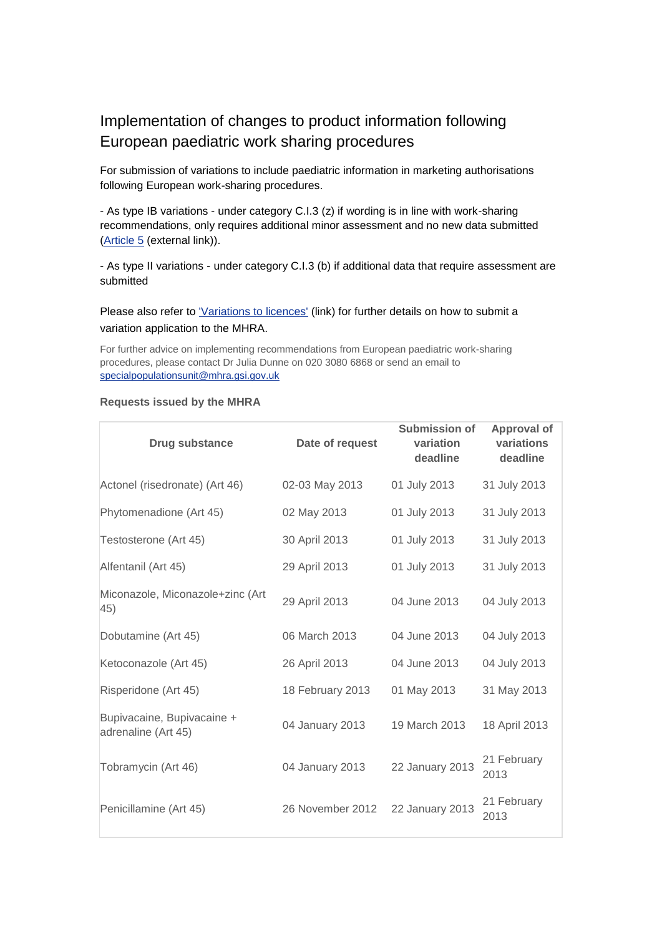## Implementation of changes to product information following European paediatric work sharing procedures

For submission of variations to include paediatric information in marketing authorisations following European work-sharing procedures.

- As type IB variations - under category C.I.3 (z) if wording is in line with work-sharing recommendations, only requires additional minor assessment and no new data submitted [\(Article 5](http://www.hma.eu/fileadmin/dateien/Human_Medicines/CMD_h_/procedural_guidance/Variations/Art_5_Recommendations/CMDh_182_2010_Rev4_2013_09.pdf) (external link)).

- As type II variations - under category C.I.3 (b) if additional data that require assessment are submitted

Please also refer to ['Variations to licences'](http://www.mhra.gov.uk/Howweregulate/Medicines/Licensingofmedicines/Marketingauthorisations/Variationstolicences/index.htm) (link) for further details on how to submit a variation application to the MHRA.

For further advice on implementing recommendations from European paediatric work-sharing procedures, please contact Dr Julia Dunne on 020 3080 6868 or send an email to [specialpopulationsunit@mhra.gsi.gov.uk](mailto:specialpopulationsunit@mhra.gsi.gov.uk)

## **Requests issued by the MHRA**

| Drug substance                                    | Date of request  | <b>Submission of</b><br>variation<br>deadline | <b>Approval of</b><br>variations<br>deadline |
|---------------------------------------------------|------------------|-----------------------------------------------|----------------------------------------------|
| Actonel (risedronate) (Art 46)                    | 02-03 May 2013   | 01 July 2013                                  | 31 July 2013                                 |
| Phytomenadione (Art 45)                           | 02 May 2013      | 01 July 2013                                  | 31 July 2013                                 |
| Testosterone (Art 45)                             | 30 April 2013    | 01 July 2013                                  | 31 July 2013                                 |
| Alfentanil (Art 45)                               | 29 April 2013    | 01 July 2013                                  | 31 July 2013                                 |
| Miconazole, Miconazole+zinc (Art<br>45)           | 29 April 2013    | 04 June 2013                                  | 04 July 2013                                 |
| Dobutamine (Art 45)                               | 06 March 2013    | 04 June 2013                                  | 04 July 2013                                 |
| Ketoconazole (Art 45)                             | 26 April 2013    | 04 June 2013                                  | 04 July 2013                                 |
| Risperidone (Art 45)                              | 18 February 2013 | 01 May 2013                                   | 31 May 2013                                  |
| Bupivacaine, Bupivacaine +<br>adrenaline (Art 45) | 04 January 2013  | 19 March 2013                                 | 18 April 2013                                |
| Tobramycin (Art 46)                               | 04 January 2013  | 22 January 2013                               | 21 February<br>2013                          |
| Penicillamine (Art 45)                            | 26 November 2012 | 22 January 2013                               | 21 February<br>2013                          |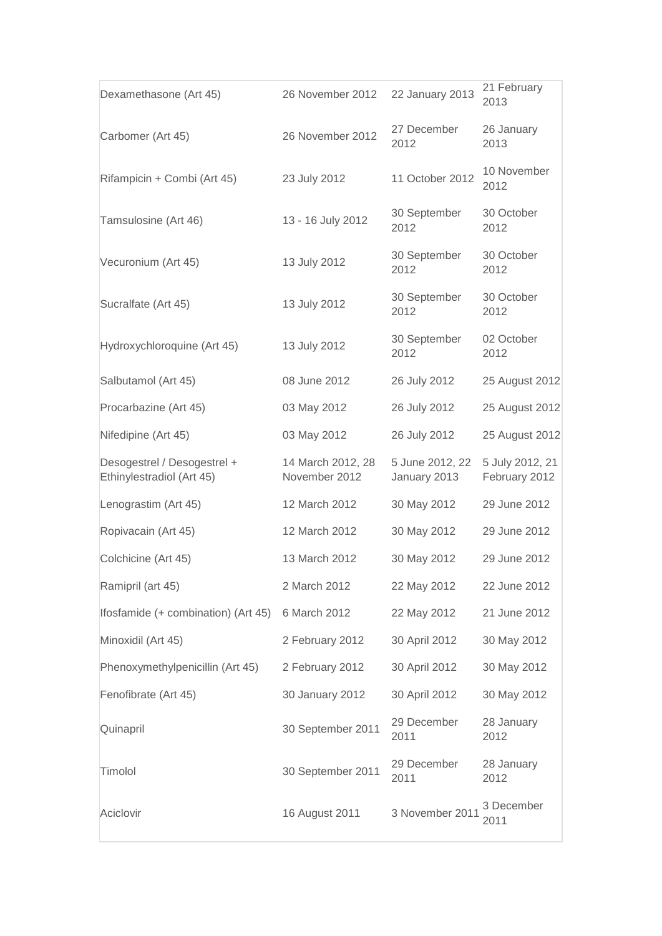| Dexamethasone (Art 45)                                   | 26 November 2012                   | 22 January 2013                 | 21 February<br>2013              |
|----------------------------------------------------------|------------------------------------|---------------------------------|----------------------------------|
| Carbomer (Art 45)                                        | 26 November 2012                   | 27 December<br>2012             | 26 January<br>2013               |
| Rifampicin + Combi (Art 45)                              | 23 July 2012                       | 11 October 2012                 | 10 November<br>2012              |
| Tamsulosine (Art 46)                                     | 13 - 16 July 2012                  | 30 September<br>2012            | 30 October<br>2012               |
| Vecuronium (Art 45)                                      | 13 July 2012                       | 30 September<br>2012            | 30 October<br>2012               |
| Sucralfate (Art 45)                                      | 13 July 2012                       | 30 September<br>2012            | 30 October<br>2012               |
| Hydroxychloroquine (Art 45)                              | 13 July 2012                       | 30 September<br>2012            | 02 October<br>2012               |
| Salbutamol (Art 45)                                      | 08 June 2012                       | 26 July 2012                    | 25 August 2012                   |
| Procarbazine (Art 45)                                    | 03 May 2012                        | 26 July 2012                    | 25 August 2012                   |
| Nifedipine (Art 45)                                      | 03 May 2012                        | 26 July 2012                    | 25 August 2012                   |
| Desogestrel / Desogestrel +<br>Ethinylestradiol (Art 45) | 14 March 2012, 28<br>November 2012 | 5 June 2012, 22<br>January 2013 | 5 July 2012, 21<br>February 2012 |
| Lenograstim (Art 45)                                     | 12 March 2012                      | 30 May 2012                     | 29 June 2012                     |
| Ropivacain (Art 45)                                      | 12 March 2012                      | 30 May 2012                     | 29 June 2012                     |
| Colchicine (Art 45)                                      | 13 March 2012                      | 30 May 2012                     | 29 June 2012                     |
| Ramipril (art 45)                                        | 2 March 2012                       | 22 May 2012                     | 22 June 2012                     |
| Ifosfamide (+ combination) (Art 45)                      | 6 March 2012                       | 22 May 2012                     | 21 June 2012                     |
| Minoxidil (Art 45)                                       | 2 February 2012                    | 30 April 2012                   | 30 May 2012                      |
| Phenoxymethylpenicillin (Art 45)                         | 2 February 2012                    | 30 April 2012                   | 30 May 2012                      |
| Fenofibrate (Art 45)                                     | 30 January 2012                    | 30 April 2012                   | 30 May 2012                      |
| Quinapril                                                | 30 September 2011                  | 29 December<br>2011             | 28 January<br>2012               |
| Timolol                                                  | 30 September 2011                  | 29 December<br>2011             | 28 January<br>2012               |
| Aciclovir                                                | 16 August 2011                     | 3 November 2011                 | 3 December<br>2011               |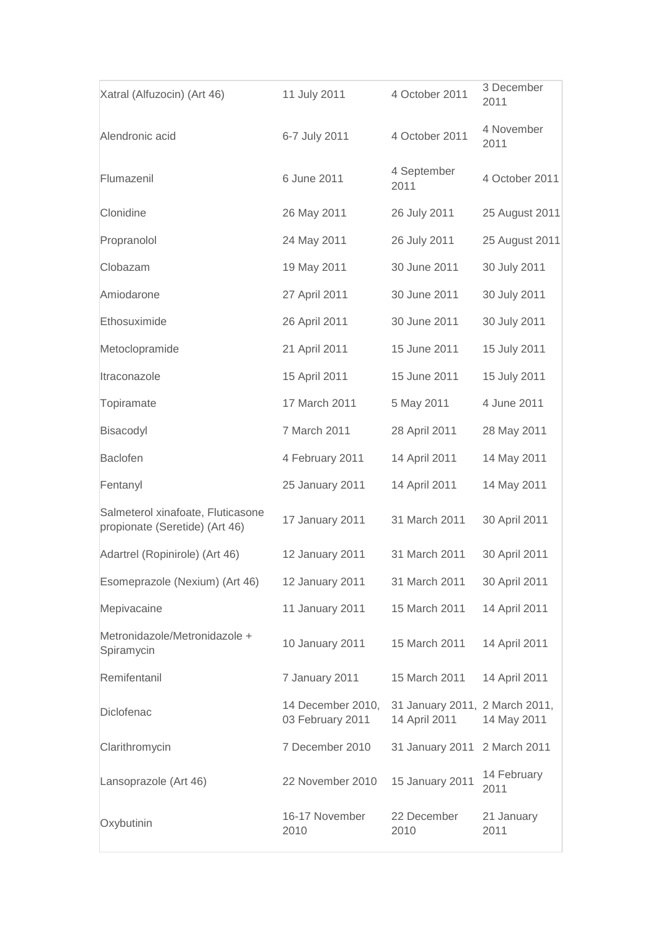| Xatral (Alfuzocin) (Art 46)                                         | 11 July 2011                          | 4 October 2011                                  | 3 December<br>2011  |
|---------------------------------------------------------------------|---------------------------------------|-------------------------------------------------|---------------------|
| Alendronic acid                                                     | 6-7 July 2011                         | 4 October 2011                                  | 4 November<br>2011  |
| Flumazenil                                                          | 6 June 2011                           | 4 September<br>2011                             | 4 October 2011      |
| Clonidine                                                           | 26 May 2011                           | 26 July 2011                                    | 25 August 2011      |
| Propranolol                                                         | 24 May 2011                           | 26 July 2011                                    | 25 August 2011      |
| Clobazam                                                            | 19 May 2011                           | 30 June 2011                                    | 30 July 2011        |
| Amiodarone                                                          | 27 April 2011                         | 30 June 2011                                    | 30 July 2011        |
| Ethosuximide                                                        | 26 April 2011                         | 30 June 2011                                    | 30 July 2011        |
| Metoclopramide                                                      | 21 April 2011                         | 15 June 2011                                    | 15 July 2011        |
| Itraconazole                                                        | 15 April 2011                         | 15 June 2011                                    | 15 July 2011        |
| Topiramate                                                          | 17 March 2011                         | 5 May 2011                                      | 4 June 2011         |
| Bisacodyl                                                           | 7 March 2011                          | 28 April 2011                                   | 28 May 2011         |
| <b>Baclofen</b>                                                     | 4 February 2011                       | 14 April 2011                                   | 14 May 2011         |
| Fentanyl                                                            | 25 January 2011                       | 14 April 2011                                   | 14 May 2011         |
| Salmeterol xinafoate, Fluticasone<br>propionate (Seretide) (Art 46) | 17 January 2011                       | 31 March 2011                                   | 30 April 2011       |
| Adartrel (Ropinirole) (Art 46)                                      | 12 January 2011                       | 31 March 2011                                   | 30 April 2011       |
| Esomeprazole (Nexium) (Art 46)                                      | 12 January 2011                       | 31 March 2011                                   | 30 April 2011       |
| Mepivacaine                                                         | 11 January 2011                       | 15 March 2011                                   | 14 April 2011       |
| Metronidazole/Metronidazole +<br>Spiramycin                         | 10 January 2011                       | 15 March 2011                                   | 14 April 2011       |
| Remifentanil                                                        | 7 January 2011                        | 15 March 2011                                   | 14 April 2011       |
| Diclofenac                                                          | 14 December 2010,<br>03 February 2011 | 31 January 2011, 2 March 2011,<br>14 April 2011 | 14 May 2011         |
| Clarithromycin                                                      | 7 December 2010                       | 31 January 2011                                 | 2 March 2011        |
| Lansoprazole (Art 46)                                               | 22 November 2010                      | 15 January 2011                                 | 14 February<br>2011 |
| Oxybutinin                                                          | 16-17 November<br>2010                | 22 December<br>2010                             | 21 January<br>2011  |
|                                                                     |                                       |                                                 |                     |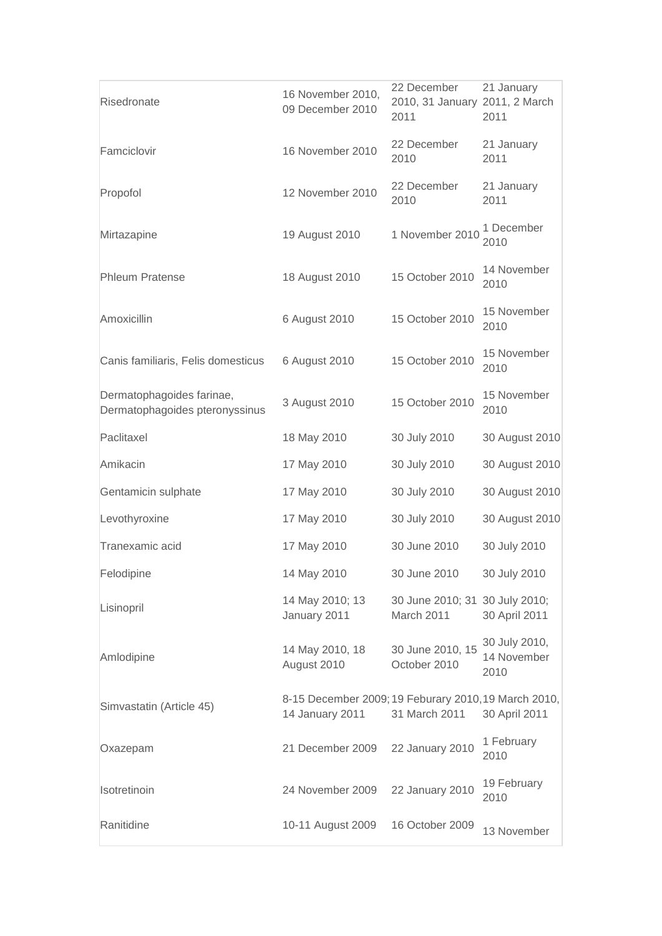| Risedronate                                                 | 16 November 2010,<br>09 December 2010                                   | 22 December<br>2010, 31 January 2011, 2 March<br>2011 | 21 January<br>2011                   |
|-------------------------------------------------------------|-------------------------------------------------------------------------|-------------------------------------------------------|--------------------------------------|
| Famciclovir                                                 | 16 November 2010                                                        | 22 December<br>2010                                   | 21 January<br>2011                   |
| Propofol                                                    | 12 November 2010                                                        | 22 December<br>2010                                   | 21 January<br>2011                   |
| Mirtazapine                                                 | 19 August 2010                                                          | 1 November 2010                                       | 1 December<br>2010                   |
| <b>Phleum Pratense</b>                                      | 18 August 2010                                                          | 15 October 2010                                       | 14 November<br>2010                  |
| Amoxicillin                                                 | 6 August 2010                                                           | 15 October 2010                                       | 15 November<br>2010                  |
| Canis familiaris, Felis domesticus                          | 6 August 2010                                                           | 15 October 2010                                       | 15 November<br>2010                  |
| Dermatophagoides farinae,<br>Dermatophagoides pteronyssinus | 3 August 2010                                                           | 15 October 2010                                       | 15 November<br>2010                  |
| Paclitaxel                                                  | 18 May 2010                                                             | 30 July 2010                                          | 30 August 2010                       |
| Amikacin                                                    | 17 May 2010                                                             | 30 July 2010                                          | 30 August 2010                       |
| Gentamicin sulphate                                         | 17 May 2010                                                             | 30 July 2010                                          | 30 August 2010                       |
| Levothyroxine                                               | 17 May 2010                                                             | 30 July 2010                                          | 30 August 2010                       |
| Tranexamic acid                                             | 17 May 2010                                                             | 30 June 2010                                          | 30 July 2010                         |
| Felodipine                                                  | 14 May 2010                                                             | 30 June 2010                                          | 30 July 2010                         |
| Lisinopril                                                  | 14 May 2010; 13<br>January 2011                                         | 30 June 2010; 31 30 July 2010;<br>March 2011          | 30 April 2011                        |
| Amlodipine                                                  | 14 May 2010, 18<br>August 2010                                          | 30 June 2010, 15<br>October 2010                      | 30 July 2010,<br>14 November<br>2010 |
| Simvastatin (Article 45)                                    | 8-15 December 2009; 19 Feburary 2010, 19 March 2010,<br>14 January 2011 | 31 March 2011                                         | 30 April 2011                        |
| Oxazepam                                                    | 21 December 2009                                                        | 22 January 2010                                       | 1 February<br>2010                   |
| Isotretinoin                                                | 24 November 2009                                                        | 22 January 2010                                       | 19 February<br>2010                  |
| Ranitidine                                                  | 10-11 August 2009                                                       | 16 October 2009                                       | 13 November                          |